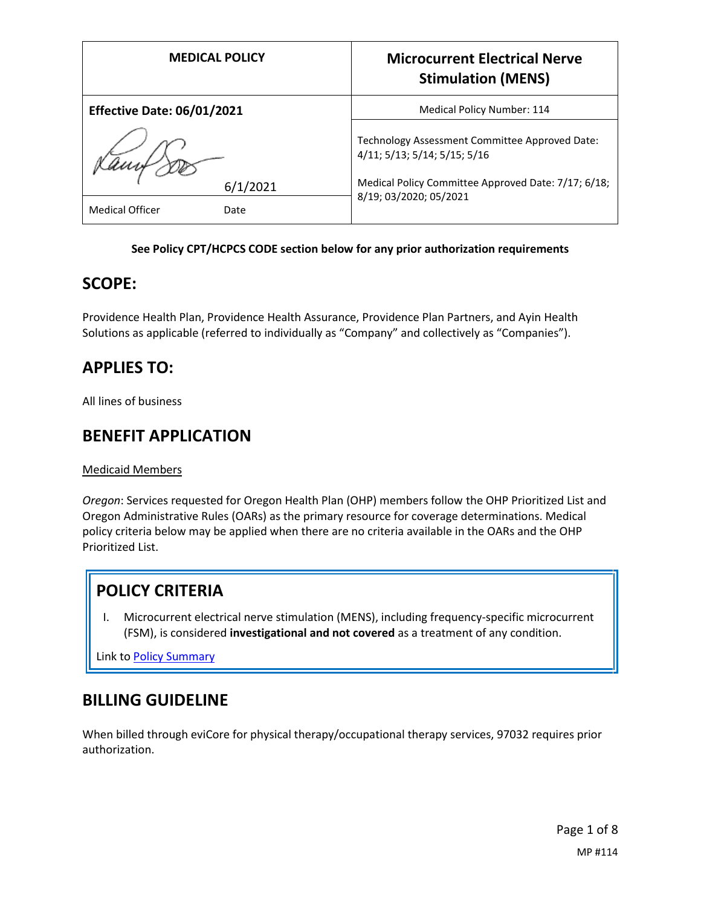|                                   | <b>MEDICAL POLICY</b> | <b>Microcurrent Electrical Nerve</b><br><b>Stimulation (MENS)</b>              |
|-----------------------------------|-----------------------|--------------------------------------------------------------------------------|
| <b>Effective Date: 06/01/2021</b> |                       | Medical Policy Number: 114                                                     |
|                                   |                       | Technology Assessment Committee Approved Date:<br>4/11; 5/13; 5/14; 5/15; 5/16 |
|                                   | 6/1/2021              | Medical Policy Committee Approved Date: 7/17; 6/18;                            |
| <b>Medical Officer</b>            | Date                  | 8/19; 03/2020; 05/2021                                                         |

### **See Policy CPT/HCPCS CODE section below for any prior authorization requirements**

## **SCOPE:**

Providence Health Plan, Providence Health Assurance, Providence Plan Partners, and Ayin Health Solutions as applicable (referred to individually as "Company" and collectively as "Companies").

# **APPLIES TO:**

All lines of business

## **BENEFIT APPLICATION**

Medicaid Members

*Oregon*: Services requested for Oregon Health Plan (OHP) members follow the OHP Prioritized List and Oregon Administrative Rules (OARs) as the primary resource for coverage determinations. Medical policy criteria below may be applied when there are no criteria available in the OARs and the OHP Prioritized List.

# **POLICY CRITERIA**

I. Microcurrent electrical nerve stimulation (MENS), including frequency-specific microcurrent (FSM), is considered **investigational and not covered** as a treatment of any condition.

Link t[o Policy Summary](#page-4-0)

# **BILLING GUIDELINE**

When billed through eviCore for physical therapy/occupational therapy services, 97032 requires prior authorization.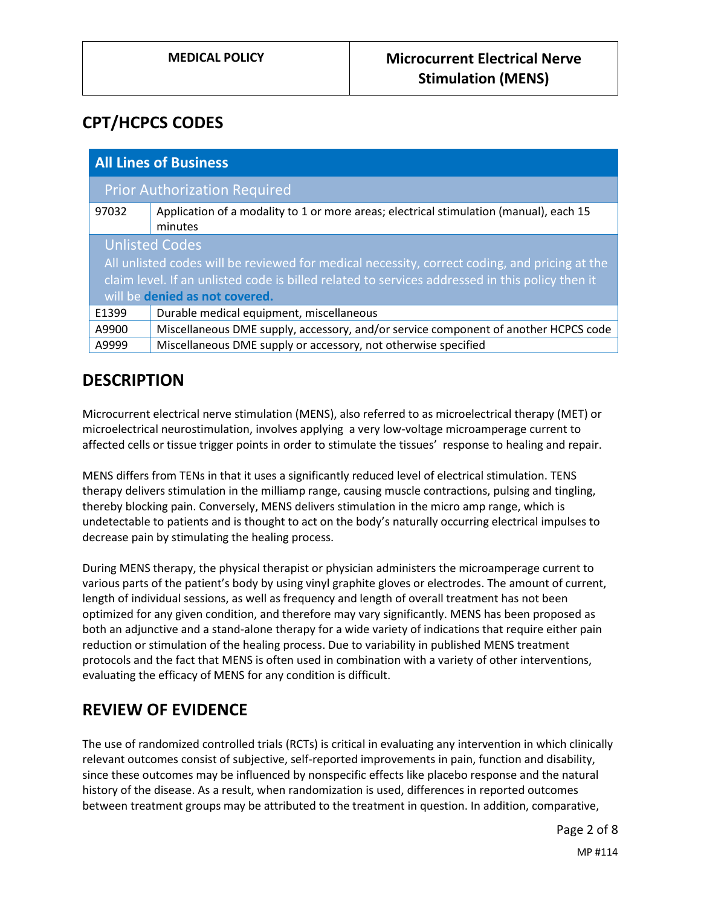# **CPT/HCPCS CODES**

| <b>All Lines of Business</b>                                                                                                                                                                                                                                |                                                                                                   |  |
|-------------------------------------------------------------------------------------------------------------------------------------------------------------------------------------------------------------------------------------------------------------|---------------------------------------------------------------------------------------------------|--|
| <b>Prior Authorization Required</b>                                                                                                                                                                                                                         |                                                                                                   |  |
| 97032                                                                                                                                                                                                                                                       | Application of a modality to 1 or more areas; electrical stimulation (manual), each 15<br>minutes |  |
| <b>Unlisted Codes</b><br>All unlisted codes will be reviewed for medical necessity, correct coding, and pricing at the<br>claim level. If an unlisted code is billed related to services addressed in this policy then it<br>will be denied as not covered. |                                                                                                   |  |
| E1399                                                                                                                                                                                                                                                       | Durable medical equipment, miscellaneous                                                          |  |
| A9900                                                                                                                                                                                                                                                       | Miscellaneous DME supply, accessory, and/or service component of another HCPCS code               |  |
| A9999                                                                                                                                                                                                                                                       | Miscellaneous DME supply or accessory, not otherwise specified                                    |  |

## **DESCRIPTION**

Microcurrent electrical nerve stimulation (MENS), also referred to as microelectrical therapy (MET) or microelectrical neurostimulation, involves applying a very low-voltage microamperage current to affected cells or tissue trigger points in order to stimulate the tissues' response to healing and repair.

MENS differs from TENs in that it uses a significantly reduced level of electrical stimulation. TENS therapy delivers stimulation in the milliamp range, causing muscle contractions, pulsing and tingling, thereby blocking pain. Conversely, MENS delivers stimulation in the micro amp range, which is undetectable to patients and is thought to act on the body's naturally occurring electrical impulses to decrease pain by stimulating the healing process.

During MENS therapy, the physical therapist or physician administers the microamperage current to various parts of the patient's body by using vinyl graphite gloves or electrodes. The amount of current, length of individual sessions, as well as frequency and length of overall treatment has not been optimized for any given condition, and therefore may vary significantly. MENS has been proposed as both an adjunctive and a stand-alone therapy for a wide variety of indications that require either pain reduction or stimulation of the healing process. Due to variability in published MENS treatment protocols and the fact that MENS is often used in combination with a variety of other interventions, evaluating the efficacy of MENS for any condition is difficult.

# **REVIEW OF EVIDENCE**

The use of randomized controlled trials (RCTs) is critical in evaluating any intervention in which clinically relevant outcomes consist of subjective, self-reported improvements in pain, function and disability, since these outcomes may be influenced by nonspecific effects like placebo response and the natural history of the disease. As a result, when randomization is used, differences in reported outcomes between treatment groups may be attributed to the treatment in question. In addition, comparative,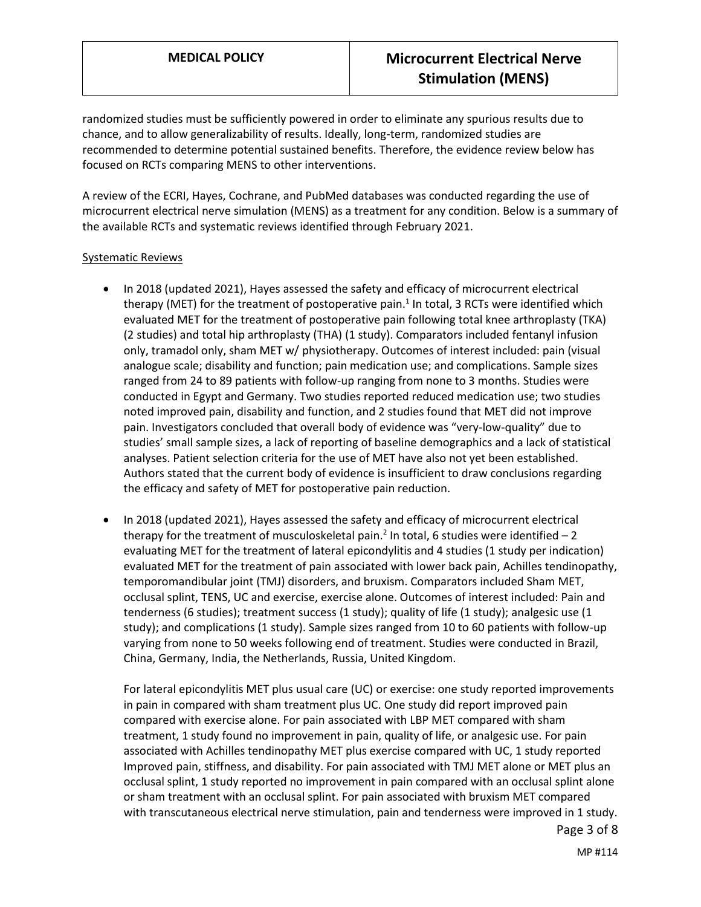randomized studies must be sufficiently powered in order to eliminate any spurious results due to chance, and to allow generalizability of results. Ideally, long-term, randomized studies are recommended to determine potential sustained benefits. Therefore, the evidence review below has focused on RCTs comparing MENS to other interventions.

A review of the ECRI, Hayes, Cochrane, and PubMed databases was conducted regarding the use of microcurrent electrical nerve simulation (MENS) as a treatment for any condition. Below is a summary of the available RCTs and systematic reviews identified through February 2021.

#### Systematic Reviews

- In 2018 (updated 2021), Hayes assessed the safety and efficacy of microcurrent electrical therapy (MET) for the treatment of postoperative pain.<sup>1</sup> In total, 3 RCTs were identified which evaluated MET for the treatment of postoperative pain following total knee arthroplasty (TKA) (2 studies) and total hip arthroplasty (THA) (1 study). Comparators included fentanyl infusion only, tramadol only, sham MET w/ physiotherapy. Outcomes of interest included: pain (visual analogue scale; disability and function; pain medication use; and complications. Sample sizes ranged from 24 to 89 patients with follow-up ranging from none to 3 months. Studies were conducted in Egypt and Germany. Two studies reported reduced medication use; two studies noted improved pain, disability and function, and 2 studies found that MET did not improve pain. Investigators concluded that overall body of evidence was "very-low-quality" due to studies' small sample sizes, a lack of reporting of baseline demographics and a lack of statistical analyses. Patient selection criteria for the use of MET have also not yet been established. Authors stated that the current body of evidence is insufficient to draw conclusions regarding the efficacy and safety of MET for postoperative pain reduction.
- In 2018 (updated 2021), Hayes assessed the safety and efficacy of microcurrent electrical therapy for the treatment of musculoskeletal pain.<sup>2</sup> In total, 6 studies were identified  $-2$ evaluating MET for the treatment of lateral epicondylitis and 4 studies (1 study per indication) evaluated MET for the treatment of pain associated with lower back pain, Achilles tendinopathy, temporomandibular joint (TMJ) disorders, and bruxism. Comparators included Sham MET, occlusal splint, TENS, UC and exercise, exercise alone. Outcomes of interest included: Pain and tenderness (6 studies); treatment success (1 study); quality of life (1 study); analgesic use (1 study); and complications (1 study). Sample sizes ranged from 10 to 60 patients with follow-up varying from none to 50 weeks following end of treatment. Studies were conducted in Brazil, China, Germany, India, the Netherlands, Russia, United Kingdom.

Page 3 of 8 For lateral epicondylitis MET plus usual care (UC) or exercise: one study reported improvements in pain in compared with sham treatment plus UC. One study did report improved pain compared with exercise alone. For pain associated with LBP MET compared with sham treatment, 1 study found no improvement in pain, quality of life, or analgesic use. For pain associated with Achilles tendinopathy MET plus exercise compared with UC, 1 study reported Improved pain, stiffness, and disability. For pain associated with TMJ MET alone or MET plus an occlusal splint, 1 study reported no improvement in pain compared with an occlusal splint alone or sham treatment with an occlusal splint. For pain associated with bruxism MET compared with transcutaneous electrical nerve stimulation, pain and tenderness were improved in 1 study.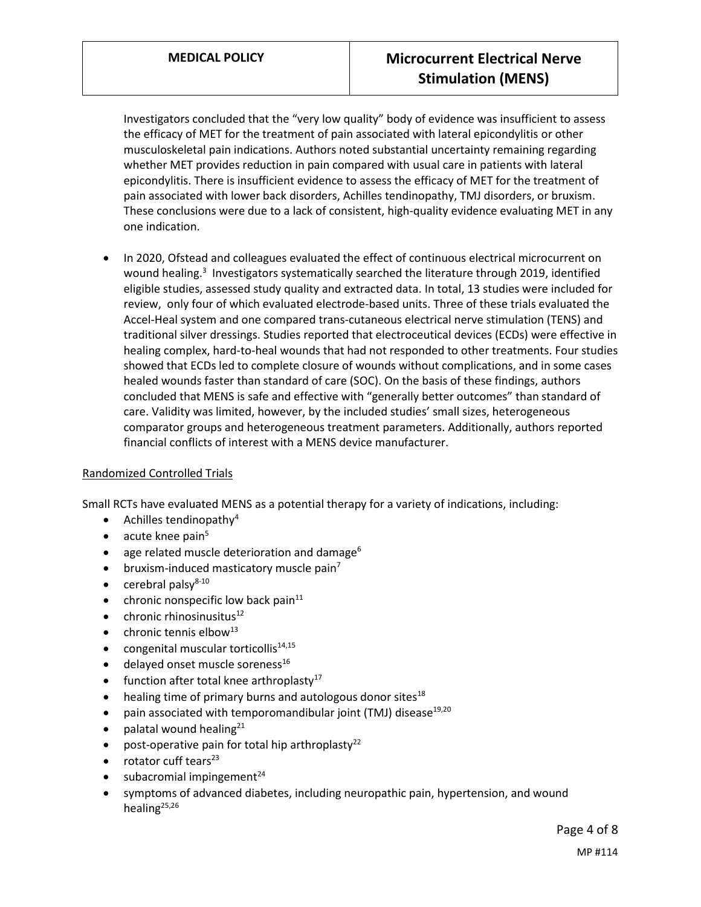Investigators concluded that the "very low quality" body of evidence was insufficient to assess the efficacy of MET for the treatment of pain associated with lateral epicondylitis or other musculoskeletal pain indications. Authors noted substantial uncertainty remaining regarding whether MET provides reduction in pain compared with usual care in patients with lateral epicondylitis. There is insufficient evidence to assess the efficacy of MET for the treatment of pain associated with lower back disorders, Achilles tendinopathy, TMJ disorders, or bruxism. These conclusions were due to a lack of consistent, high-quality evidence evaluating MET in any one indication.

 In 2020, Ofstead and colleagues evaluated the effect of continuous electrical microcurrent on wound healing.<sup>3</sup> Investigators systematically searched the literature through 2019, identified eligible studies, assessed study quality and extracted data. In total, 13 studies were included for review, only four of which evaluated electrode-based units. Three of these trials evaluated the Accel-Heal system and one compared trans-cutaneous electrical nerve stimulation (TENS) and traditional silver dressings. Studies reported that electroceutical devices (ECDs) were effective in healing complex, hard-to-heal wounds that had not responded to other treatments. Four studies showed that ECDs led to complete closure of wounds without complications, and in some cases healed wounds faster than standard of care (SOC). On the basis of these findings, authors concluded that MENS is safe and effective with "generally better outcomes" than standard of care. Validity was limited, however, by the included studies' small sizes, heterogeneous comparator groups and heterogeneous treatment parameters. Additionally, authors reported financial conflicts of interest with a MENS device manufacturer.

#### Randomized Controlled Trials

Small RCTs have evaluated MENS as a potential therapy for a variety of indications, including:

- Achilles tendinopathy<sup>4</sup>
- $\bullet$  acute knee pain<sup>5</sup>
- age related muscle deterioration and damage<sup>6</sup>
- bruxism-induced masticatory muscle pain<sup>7</sup>
- $\bullet$  cerebral palsy<sup>8-10</sup>
- $\bullet$  chronic nonspecific low back pain<sup>11</sup>
- $\bullet$  chronic rhinosinusitus<sup>12</sup>
- $\bullet$  chronic tennis elbow<sup>13</sup>
- $\bullet$  congenital muscular torticollis<sup>14,15</sup>
- $\bullet$  delayed onset muscle soreness<sup>16</sup>
- $\bullet$  function after total knee arthroplasty<sup>17</sup>
- $\bullet$  healing time of primary burns and autologous donor sites<sup>18</sup>
- pain associated with temporomandibular joint (TMJ) disease<sup>19,20</sup>
- palatal wound healing<sup>21</sup>
- post-operative pain for total hip arthroplasty<sup>22</sup>
- $\bullet$  rotator cuff tears<sup>23</sup>
- subacromial impingement $^{24}$
- symptoms of advanced diabetes, including neuropathic pain, hypertension, and wound healing<sup>25,26</sup>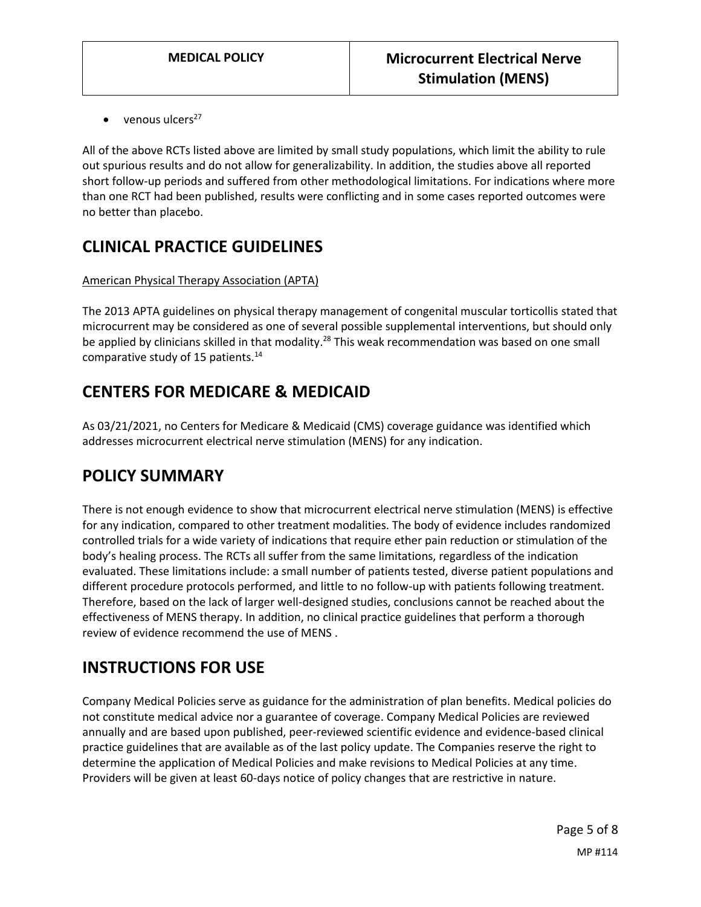$\bullet$  venous ulcers<sup>27</sup>

All of the above RCTs listed above are limited by small study populations, which limit the ability to rule out spurious results and do not allow for generalizability. In addition, the studies above all reported short follow-up periods and suffered from other methodological limitations. For indications where more than one RCT had been published, results were conflicting and in some cases reported outcomes were no better than placebo.

# **CLINICAL PRACTICE GUIDELINES**

### American Physical Therapy Association (APTA)

The 2013 APTA guidelines on physical therapy management of congenital muscular torticollis stated that microcurrent may be considered as one of several possible supplemental interventions, but should only be applied by clinicians skilled in that modality.<sup>28</sup> This weak recommendation was based on one small comparative study of 15 patients.<sup>14</sup>

# **CENTERS FOR MEDICARE & MEDICAID**

As 03/21/2021, no Centers for Medicare & Medicaid (CMS) coverage guidance was identified which addresses microcurrent electrical nerve stimulation (MENS) for any indication.

## <span id="page-4-0"></span>**POLICY SUMMARY**

There is not enough evidence to show that microcurrent electrical nerve stimulation (MENS) is effective for any indication, compared to other treatment modalities. The body of evidence includes randomized controlled trials for a wide variety of indications that require ether pain reduction or stimulation of the body's healing process. The RCTs all suffer from the same limitations, regardless of the indication evaluated. These limitations include: a small number of patients tested, diverse patient populations and different procedure protocols performed, and little to no follow-up with patients following treatment. Therefore, based on the lack of larger well-designed studies, conclusions cannot be reached about the effectiveness of MENS therapy. In addition, no clinical practice guidelines that perform a thorough review of evidence recommend the use of MENS .

## **INSTRUCTIONS FOR USE**

Company Medical Policies serve as guidance for the administration of plan benefits. Medical policies do not constitute medical advice nor a guarantee of coverage. Company Medical Policies are reviewed annually and are based upon published, peer-reviewed scientific evidence and evidence-based clinical practice guidelines that are available as of the last policy update. The Companies reserve the right to determine the application of Medical Policies and make revisions to Medical Policies at any time. Providers will be given at least 60-days notice of policy changes that are restrictive in nature.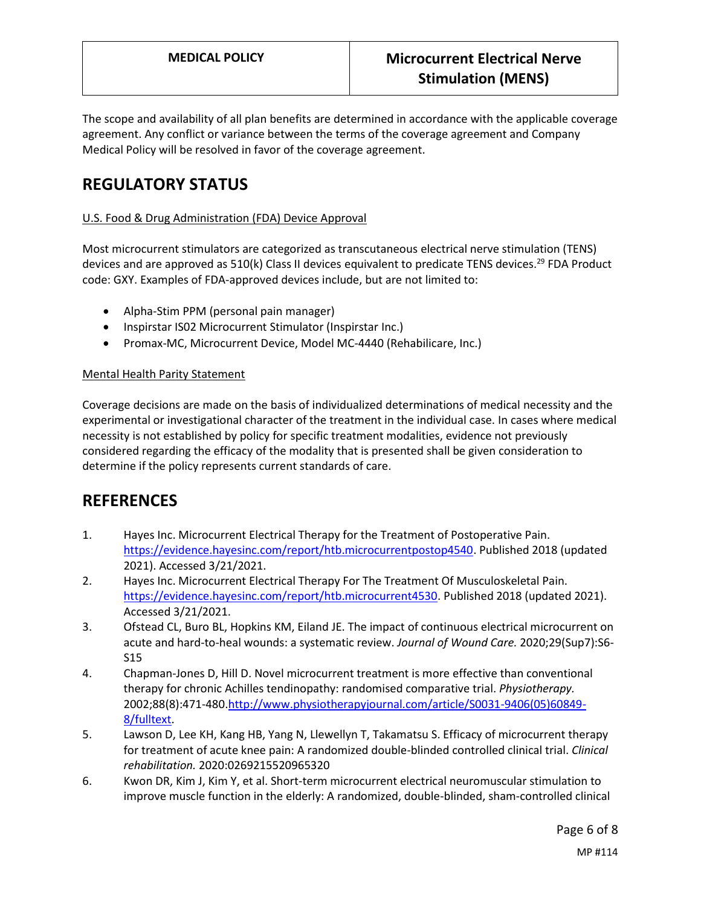The scope and availability of all plan benefits are determined in accordance with the applicable coverage agreement. Any conflict or variance between the terms of the coverage agreement and Company Medical Policy will be resolved in favor of the coverage agreement.

# **REGULATORY STATUS**

### U.S. Food & Drug Administration (FDA) Device Approval

Most microcurrent stimulators are categorized as transcutaneous electrical nerve stimulation (TENS) devices and are approved as 510(k) Class II devices equivalent to predicate TENS devices.<sup>29</sup> FDA Product code: GXY. Examples of FDA-approved devices include, but are not limited to:

- Alpha-Stim PPM (personal pain manager)
- Inspirstar IS02 Microcurrent Stimulator (Inspirstar Inc.)
- Promax-MC, Microcurrent Device, Model MC-4440 (Rehabilicare, Inc.)

#### Mental Health Parity Statement

Coverage decisions are made on the basis of individualized determinations of medical necessity and the experimental or investigational character of the treatment in the individual case. In cases where medical necessity is not established by policy for specific treatment modalities, evidence not previously considered regarding the efficacy of the modality that is presented shall be given consideration to determine if the policy represents current standards of care.

## **REFERENCES**

- 1. Hayes Inc. Microcurrent Electrical Therapy for the Treatment of Postoperative Pain. [https://evidence.hayesinc.com/report/htb.microcurrentpostop4540.](https://evidence.hayesinc.com/report/htb.microcurrentpostop4540) Published 2018 (updated 2021). Accessed 3/21/2021.
- 2. Hayes Inc. Microcurrent Electrical Therapy For The Treatment Of Musculoskeletal Pain. [https://evidence.hayesinc.com/report/htb.microcurrent4530.](https://evidence.hayesinc.com/report/htb.microcurrent4530) Published 2018 (updated 2021). Accessed 3/21/2021.
- 3. Ofstead CL, Buro BL, Hopkins KM, Eiland JE. The impact of continuous electrical microcurrent on acute and hard-to-heal wounds: a systematic review. *Journal of Wound Care.* 2020;29(Sup7):S6- S15
- 4. Chapman-Jones D, Hill D. Novel microcurrent treatment is more effective than conventional therapy for chronic Achilles tendinopathy: randomised comparative trial. *Physiotherapy.*  2002;88(8):471-480[.http://www.physiotherapyjournal.com/article/S0031-9406\(05\)60849-](http://www.physiotherapyjournal.com/article/S0031-9406(05)60849-8/fulltext) [8/fulltext.](http://www.physiotherapyjournal.com/article/S0031-9406(05)60849-8/fulltext)
- 5. Lawson D, Lee KH, Kang HB, Yang N, Llewellyn T, Takamatsu S. Efficacy of microcurrent therapy for treatment of acute knee pain: A randomized double-blinded controlled clinical trial. *Clinical rehabilitation.* 2020:0269215520965320
- 6. Kwon DR, Kim J, Kim Y, et al. Short-term microcurrent electrical neuromuscular stimulation to improve muscle function in the elderly: A randomized, double-blinded, sham-controlled clinical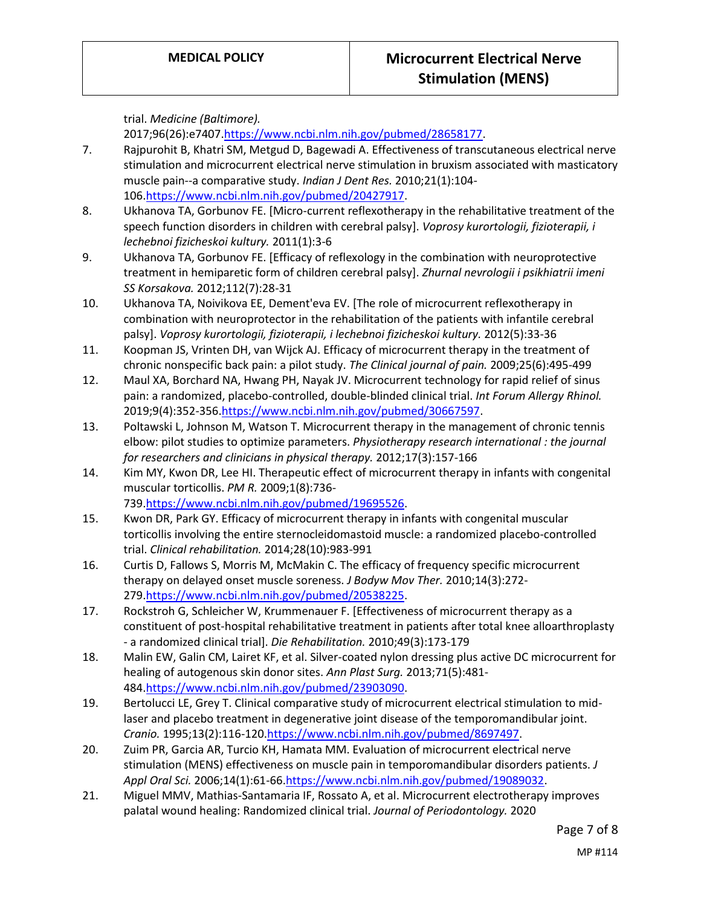trial. *Medicine (Baltimore).* 

2017;96(26):e7407[.https://www.ncbi.nlm.nih.gov/pubmed/28658177.](https://www.ncbi.nlm.nih.gov/pubmed/28658177)

- 7. Rajpurohit B, Khatri SM, Metgud D, Bagewadi A. Effectiveness of transcutaneous electrical nerve stimulation and microcurrent electrical nerve stimulation in bruxism associated with masticatory muscle pain--a comparative study. *Indian J Dent Res.* 2010;21(1):104- 106[.https://www.ncbi.nlm.nih.gov/pubmed/20427917.](https://www.ncbi.nlm.nih.gov/pubmed/20427917)
- 8. Ukhanova TA, Gorbunov FE. [Micro-current reflexotherapy in the rehabilitative treatment of the speech function disorders in children with cerebral palsy]. *Voprosy kurortologii, fizioterapii, i lechebnoi fizicheskoi kultury.* 2011(1):3-6
- 9. Ukhanova TA, Gorbunov FE. [Efficacy of reflexology in the combination with neuroprotective treatment in hemiparetic form of children cerebral palsy]. *Zhurnal nevrologii i psikhiatrii imeni SS Korsakova.* 2012;112(7):28-31
- 10. Ukhanova TA, Noivikova EE, Dement'eva EV. [The role of microcurrent reflexotherapy in combination with neuroprotector in the rehabilitation of the patients with infantile cerebral palsy]. *Voprosy kurortologii, fizioterapii, i lechebnoi fizicheskoi kultury.* 2012(5):33-36
- 11. Koopman JS, Vrinten DH, van Wijck AJ. Efficacy of microcurrent therapy in the treatment of chronic nonspecific back pain: a pilot study. *The Clinical journal of pain.* 2009;25(6):495-499
- 12. Maul XA, Borchard NA, Hwang PH, Nayak JV. Microcurrent technology for rapid relief of sinus pain: a randomized, placebo-controlled, double-blinded clinical trial. *Int Forum Allergy Rhinol.*  2019;9(4):352-356[.https://www.ncbi.nlm.nih.gov/pubmed/30667597.](https://www.ncbi.nlm.nih.gov/pubmed/30667597)
- 13. Poltawski L, Johnson M, Watson T. Microcurrent therapy in the management of chronic tennis elbow: pilot studies to optimize parameters. *Physiotherapy research international : the journal for researchers and clinicians in physical therapy.* 2012;17(3):157-166
- 14. Kim MY, Kwon DR, Lee HI. Therapeutic effect of microcurrent therapy in infants with congenital muscular torticollis. *PM R.* 2009;1(8):736- 739[.https://www.ncbi.nlm.nih.gov/pubmed/19695526.](https://www.ncbi.nlm.nih.gov/pubmed/19695526)
- 15. Kwon DR, Park GY. Efficacy of microcurrent therapy in infants with congenital muscular torticollis involving the entire sternocleidomastoid muscle: a randomized placebo-controlled trial. *Clinical rehabilitation.* 2014;28(10):983-991
- 16. Curtis D, Fallows S, Morris M, McMakin C. The efficacy of frequency specific microcurrent therapy on delayed onset muscle soreness. *J Bodyw Mov Ther.* 2010;14(3):272- 279[.https://www.ncbi.nlm.nih.gov/pubmed/20538225.](https://www.ncbi.nlm.nih.gov/pubmed/20538225)
- 17. Rockstroh G, Schleicher W, Krummenauer F. [Effectiveness of microcurrent therapy as a constituent of post-hospital rehabilitative treatment in patients after total knee alloarthroplasty - a randomized clinical trial]. *Die Rehabilitation.* 2010;49(3):173-179
- 18. Malin EW, Galin CM, Lairet KF, et al. Silver-coated nylon dressing plus active DC microcurrent for healing of autogenous skin donor sites. *Ann Plast Surg.* 2013;71(5):481- 484[.https://www.ncbi.nlm.nih.gov/pubmed/23903090.](https://www.ncbi.nlm.nih.gov/pubmed/23903090)
- 19. Bertolucci LE, Grey T. Clinical comparative study of microcurrent electrical stimulation to midlaser and placebo treatment in degenerative joint disease of the temporomandibular joint. *Cranio.* 1995;13(2):116-120[.https://www.ncbi.nlm.nih.gov/pubmed/8697497.](https://www.ncbi.nlm.nih.gov/pubmed/8697497)
- 20. Zuim PR, Garcia AR, Turcio KH, Hamata MM. Evaluation of microcurrent electrical nerve stimulation (MENS) effectiveness on muscle pain in temporomandibular disorders patients. *J Appl Oral Sci.* 2006;14(1):61-66[.https://www.ncbi.nlm.nih.gov/pubmed/19089032.](https://www.ncbi.nlm.nih.gov/pubmed/19089032)
- 21. Miguel MMV, Mathias-Santamaria IF, Rossato A, et al. Microcurrent electrotherapy improves palatal wound healing: Randomized clinical trial. *Journal of Periodontology.* 2020

Page 7 of 8